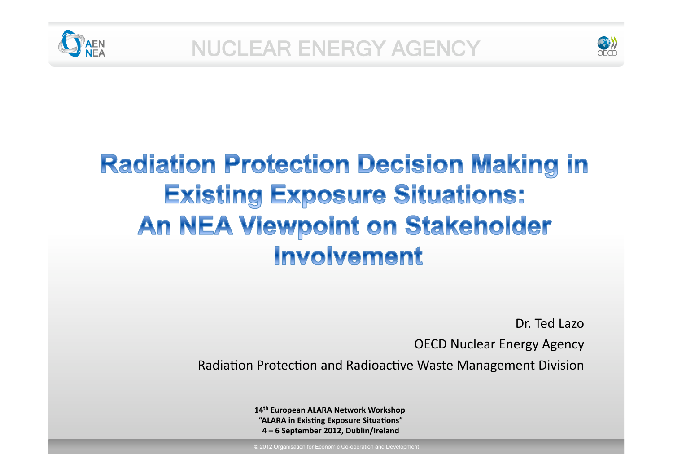



# **Radiation Protection Decision Making in Existing Exposure Situations: An NEA Viewpoint on Stakeholder** Involvement

Dr. Ted Lazo

OECD Nuclear Energy Agency

Radiation Protection and Radioactive Waste Management Division

**14th European ALARA Network Workshop "ALARA in Existing Exposure Situations" 4 – 6 September 2012, Dublin/Ireland**

© 2012 Organisation for Economic Co-operation and Development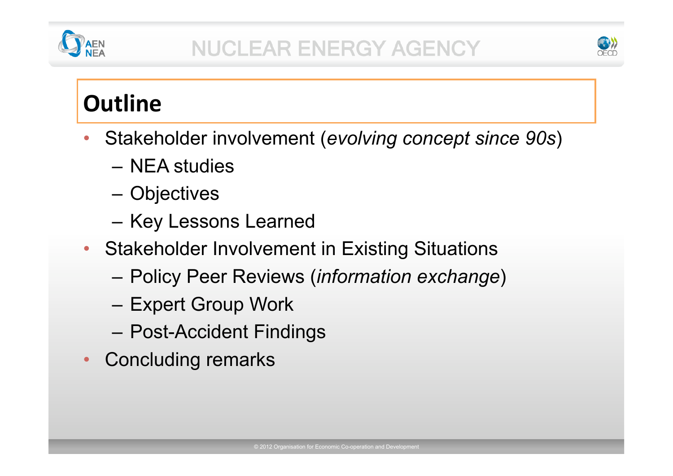



## **Outline**

- Stakeholder involvement (*evolving concept since 90s*)
	- NEA studies
	- Objectives
	- Key Lessons Learned
- Stakeholder Involvement in Existing Situations
	- Policy Peer Reviews (*information exchange*)
	- Expert Group Work
	- Post-Accident Findings
- Concluding remarks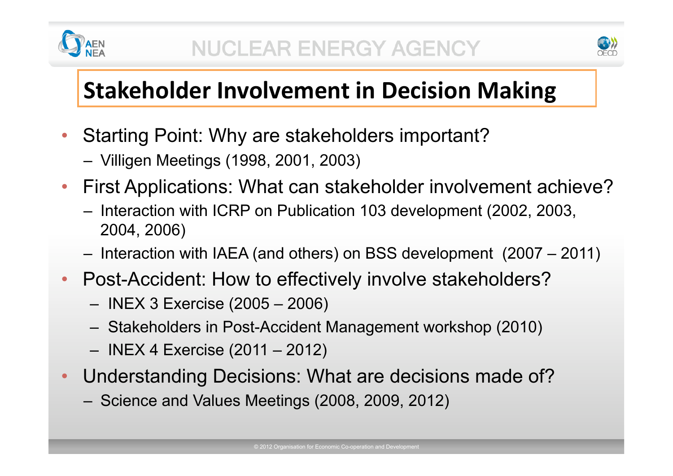



# **Stakeholder Involvement in Decision Making**

- Starting Point: Why are stakeholders important?
	- Villigen Meetings (1998, 2001, 2003)
- First Applications: What can stakeholder involvement achieve?
	- Interaction with ICRP on Publication 103 development (2002, 2003, 2004, 2006)
	- Interaction with IAEA (and others) on BSS development (2007 2011)
- Post-Accident: How to effectively involve stakeholders?
	- INEX 3 Exercise (2005 2006)
	- Stakeholders in Post-Accident Management workshop (2010)
	- INEX 4 Exercise (2011 2012)
- Understanding Decisions: What are decisions made of?
	- Science and Values Meetings (2008, 2009, 2012)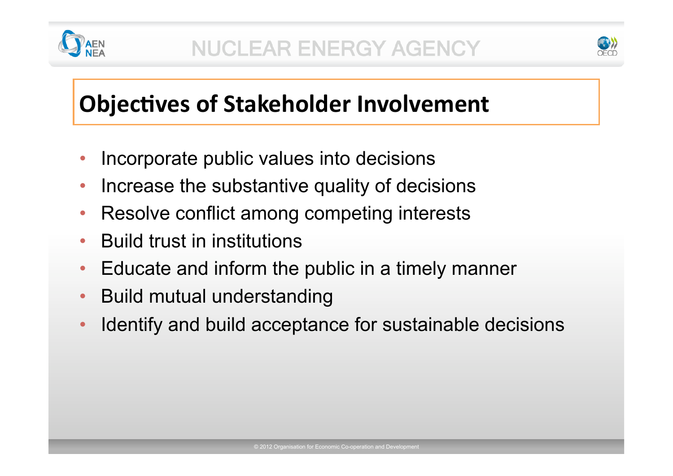



## **Objectives of Stakeholder Involvement**

- Incorporate public values into decisions
- Increase the substantive quality of decisions
- Resolve conflict among competing interests
- Build trust in institutions
- Educate and inform the public in a timely manner
- Build mutual understanding
- Identify and build acceptance for sustainable decisions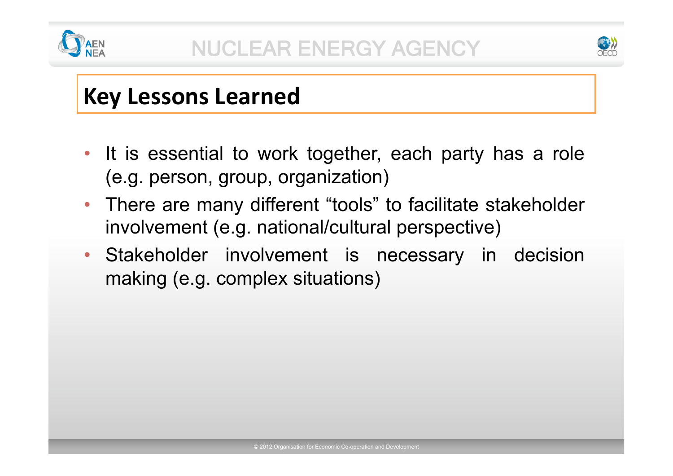



## **Key Lessons Learned**

- It is essential to work together, each party has a role (e.g. person, group, organization)
- There are many different "tools" to facilitate stakeholder involvement (e.g. national/cultural perspective)
- Stakeholder involvement is necessary in decision making (e.g. complex situations)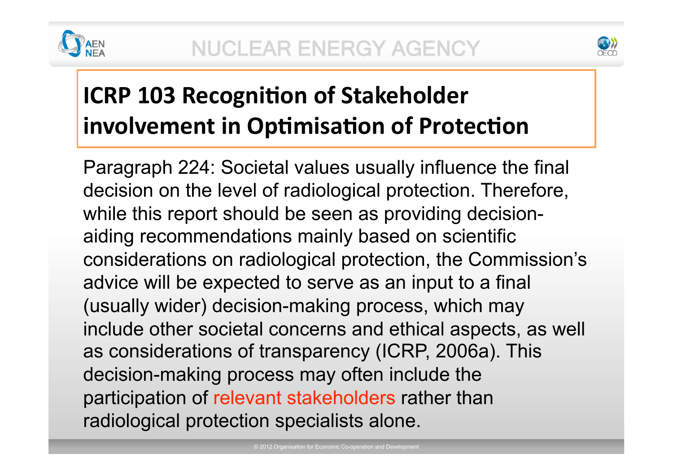



# **ICRP 103 Recognition of Stakeholder involvement in Optimisation of Protection**

Paragraph 224: Societal values usually influence the final decision on the level of radiological protection. Therefore, while this report should be seen as providing decisionaiding recommendations mainly based on scientific considerations on radiological protection, the Commission's advice will be expected to serve as an input to a final (usually wider) decision-making process, which may include other societal concerns and ethical aspects, as well as considerations of transparency (ICRP, 2006a). This decision-making process may often include the participation of relevant stakeholders rather than radiological protection specialists alone.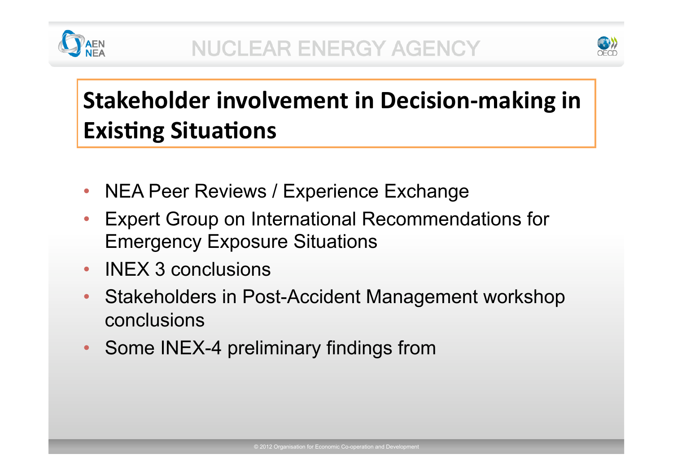



# **Stakeholder involvement in Decision‐making in Existing Situations**

- NEA Peer Reviews / Experience Exchange
- Expert Group on International Recommendations for Emergency Exposure Situations
- **INEX 3 conclusions**
- Stakeholders in Post-Accident Management workshop conclusions
- Some INEX-4 preliminary findings from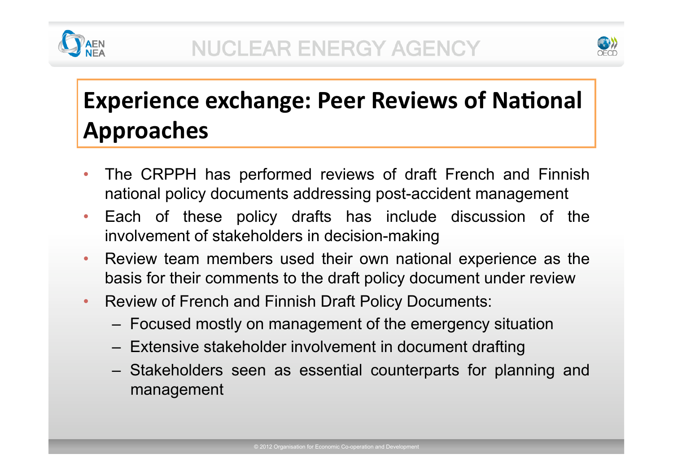



# **Experience exchange: Peer Reviews of National Approaches**

- The CRPPH has performed reviews of draft French and Finnish national policy documents addressing post-accident management
- Each of these policy drafts has include discussion of the involvement of stakeholders in decision-making
- Review team members used their own national experience as the basis for their comments to the draft policy document under review
- Review of French and Finnish Draft Policy Documents:
	- Focused mostly on management of the emergency situation
	- Extensive stakeholder involvement in document drafting
	- Stakeholders seen as essential counterparts for planning and management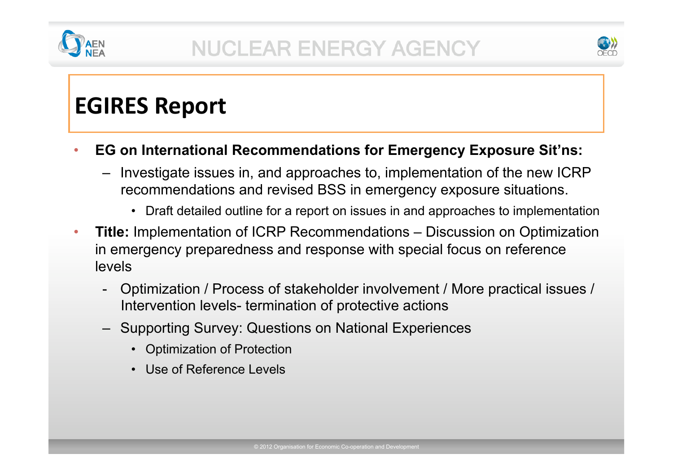



## **EGIRES Report**

#### • **EG on International Recommendations for Emergency Exposure Sit'ns:**

- Investigate issues in, and approaches to, implementation of the new ICRP recommendations and revised BSS in emergency exposure situations.
	- Draft detailed outline for a report on issues in and approaches to implementation
- **Title:** Implementation of ICRP Recommendations Discussion on Optimization in emergency preparedness and response with special focus on reference levels
	- Optimization / Process of stakeholder involvement / More practical issues / Intervention levels- termination of protective actions
	- Supporting Survey: Questions on National Experiences
		- Optimization of Protection
		- Use of Reference Levels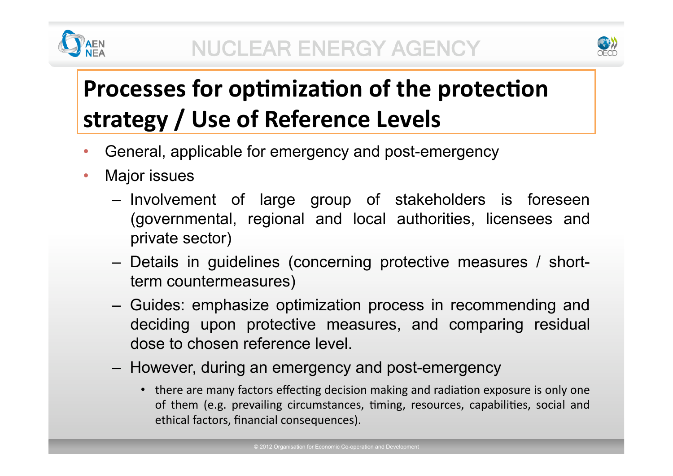



# **Processes for optimization of the protection strategy / Use of Reference Levels**

- General, applicable for emergency and post-emergency
- Major issues
	- Involvement of large group of stakeholders is foreseen (governmental, regional and local authorities, licensees and private sector)
	- Details in guidelines (concerning protective measures / shortterm countermeasures)
	- Guides: emphasize optimization process in recommending and deciding upon protective measures, and comparing residual dose to chosen reference level.
	- However, during an emergency and post-emergency
		- there are many factors effecting decision making and radiation exposure is only one of them (e.g. prevailing circumstances, timing, resources, capabilities, social and ethical factors, financial consequences).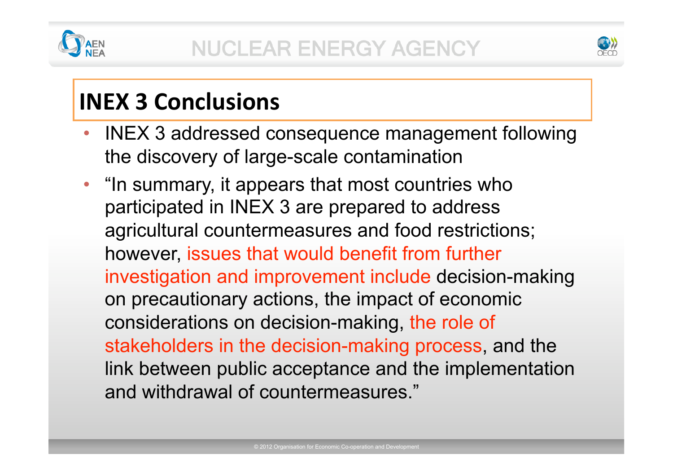



# **INEX 3 Conclusions**

- INEX 3 addressed consequence management following the discovery of large-scale contamination
- "In summary, it appears that most countries who participated in INEX 3 are prepared to address agricultural countermeasures and food restrictions; however, issues that would benefit from further investigation and improvement include decision-making on precautionary actions, the impact of economic considerations on decision-making, the role of stakeholders in the decision-making process, and the link between public acceptance and the implementation and withdrawal of countermeasures."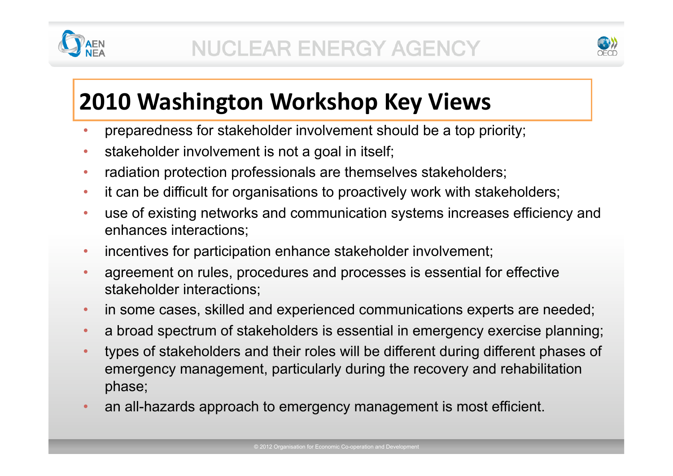



## **2010 Washington Workshop Key Views**

- preparedness for stakeholder involvement should be a top priority;
- stakeholder involvement is not a goal in itself;
- radiation protection professionals are themselves stakeholders;
- it can be difficult for organisations to proactively work with stakeholders;
- use of existing networks and communication systems increases efficiency and enhances interactions;
- incentives for participation enhance stakeholder involvement;
- agreement on rules, procedures and processes is essential for effective stakeholder interactions;
- in some cases, skilled and experienced communications experts are needed;
- a broad spectrum of stakeholders is essential in emergency exercise planning;
- types of stakeholders and their roles will be different during different phases of emergency management, particularly during the recovery and rehabilitation phase;
- an all-hazards approach to emergency management is most efficient.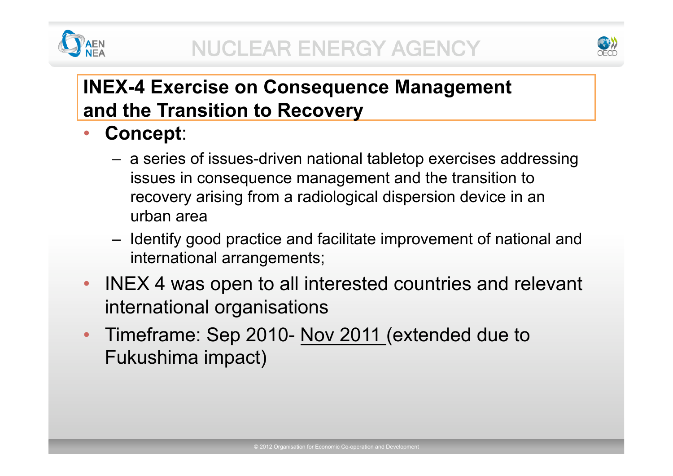



### **INEX-4 Exercise on Consequence Management and the Transition to Recovery**

- **Concept**:
	- a series of issues-driven national tabletop exercises addressing issues in consequence management and the transition to recovery arising from a radiological dispersion device in an urban area
	- Identify good practice and facilitate improvement of national and international arrangements;
- INEX 4 was open to all interested countries and relevant international organisations
- Timeframe: Sep 2010- Nov 2011 (extended due to Fukushima impact)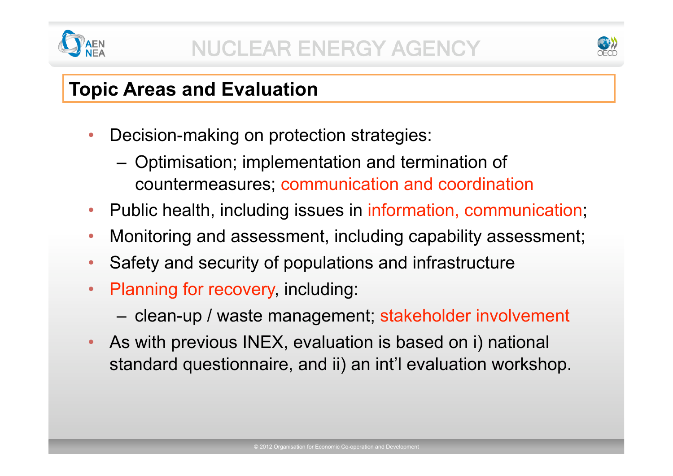



### **Topic Areas and Evaluation**

- Decision-making on protection strategies:
	- Optimisation; implementation and termination of countermeasures; communication and coordination
- Public health, including issues in information, communication;
- Monitoring and assessment, including capability assessment;
- Safety and security of populations and infrastructure
- Planning for recovery, including:
	- clean-up / waste management; stakeholder involvement
- As with previous INEX, evaluation is based on i) national standard questionnaire, and ii) an int'l evaluation workshop.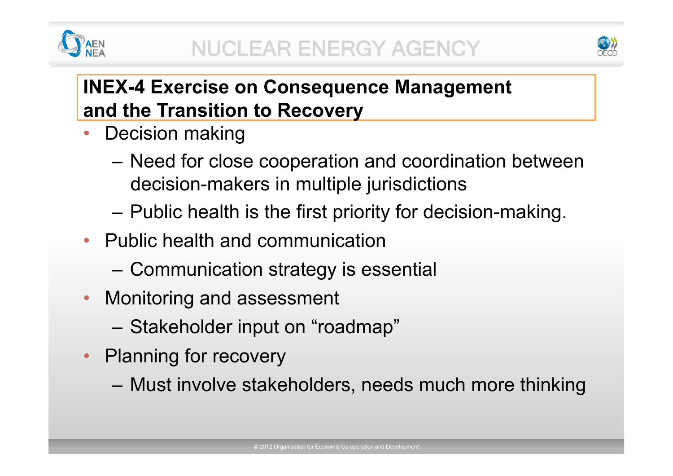



### **INEX-4 Exercise on Consequence Management and the Transition to Recovery**

- Decision making
	- Need for close cooperation and coordination between decision-makers in multiple jurisdictions
	- Public health is the first priority for decision-making.
- Public health and communication
	- Communication strategy is essential
- Monitoring and assessment
	- Stakeholder input on "roadmap"
- Planning for recovery
	- Must involve stakeholders, needs much more thinking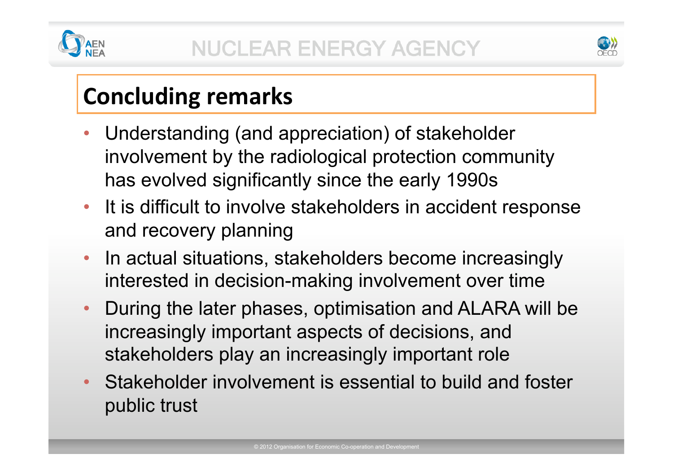



# **Concluding remarks**

- Understanding (and appreciation) of stakeholder involvement by the radiological protection community has evolved significantly since the early 1990s
- It is difficult to involve stakeholders in accident response and recovery planning
- In actual situations, stakeholders become increasingly interested in decision-making involvement over time
- During the later phases, optimisation and ALARA will be increasingly important aspects of decisions, and stakeholders play an increasingly important role
- Stakeholder involvement is essential to build and foster public trust